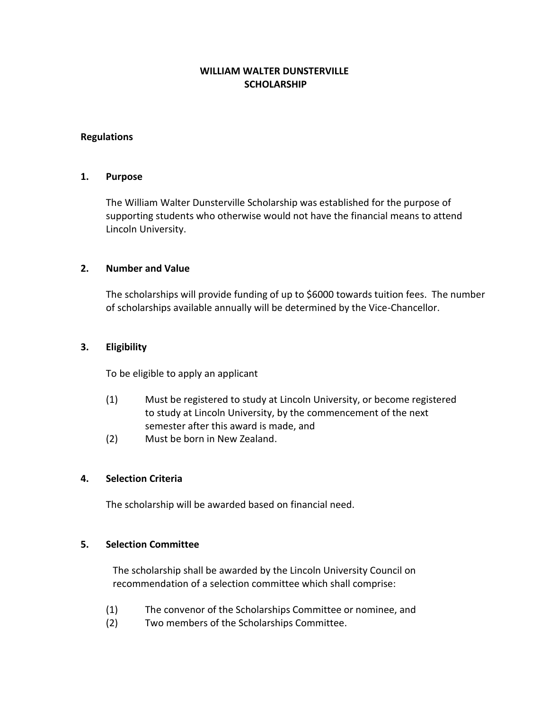# **WILLIAM WALTER DUNSTERVILLE SCHOLARSHIP**

### **Regulations**

#### **1. Purpose**

The William Walter Dunsterville Scholarship was established for the purpose of supporting students who otherwise would not have the financial means to attend Lincoln University.

#### **2. Number and Value**

The scholarships will provide funding of up to \$6000 towards tuition fees. The number of scholarships available annually will be determined by the Vice-Chancellor.

#### **3. Eligibility**

To be eligible to apply an applicant

- (1) Must be registered to study at Lincoln University, or become registered to study at Lincoln University, by the commencement of the next semester after this award is made, and
- (2) Must be born in New Zealand.

## **4. Selection Criteria**

The scholarship will be awarded based on financial need.

#### **5. Selection Committee**

The scholarship shall be awarded by the Lincoln University Council on recommendation of a selection committee which shall comprise:

- (1) The convenor of the Scholarships Committee or nominee, and
- (2) Two members of the Scholarships Committee.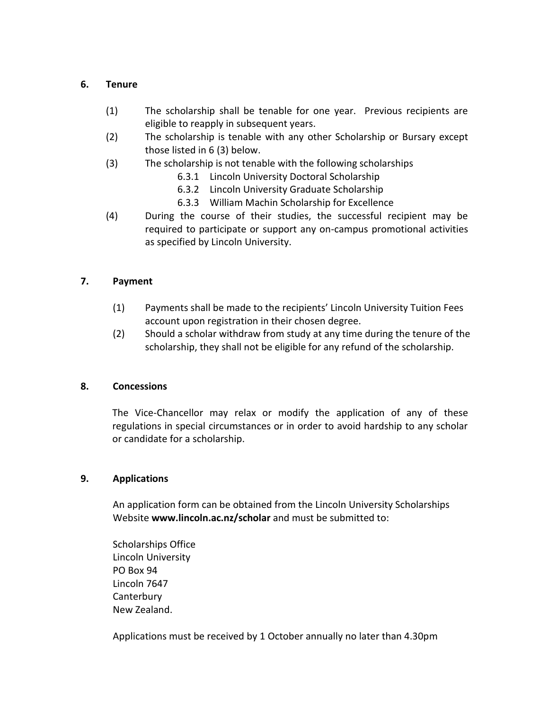### **6. Tenure**

- (1) The scholarship shall be tenable for one year. Previous recipients are eligible to reapply in subsequent years.
- (2) The scholarship is tenable with any other Scholarship or Bursary except those listed in 6 (3) below.
- (3) The scholarship is not tenable with the following scholarships
	- 6.3.1 Lincoln University Doctoral Scholarship
	- 6.3.2 Lincoln University Graduate Scholarship
	- 6.3.3 William Machin Scholarship for Excellence
- (4) During the course of their studies, the successful recipient may be required to participate or support any on-campus promotional activities as specified by Lincoln University.

# **7. Payment**

- (1) Payments shall be made to the recipients' Lincoln University Tuition Fees account upon registration in their chosen degree.
- (2) Should a scholar withdraw from study at any time during the tenure of the scholarship, they shall not be eligible for any refund of the scholarship.

## **8. Concessions**

The Vice-Chancellor may relax or modify the application of any of these regulations in special circumstances or in order to avoid hardship to any scholar or candidate for a scholarship.

## **9. Applications**

An application form can be obtained from the Lincoln University Scholarships Website **www.lincoln.ac.nz/scholar** and must be submitted to:

Scholarships Office Lincoln University PO Box 94 Lincoln 7647 **Canterbury** New Zealand.

Applications must be received by 1 October annually no later than 4.30pm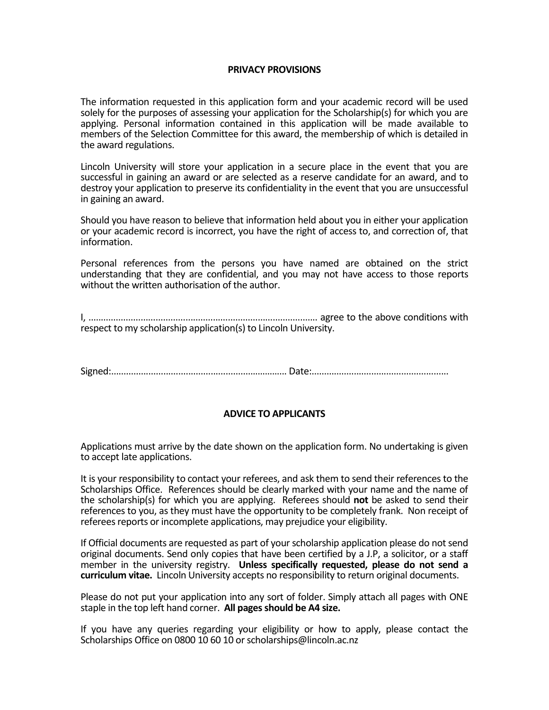#### **PRIVACY PROVISIONS**

The information requested in this application form and your academic record will be used solely for the purposes of assessing your application for the Scholarship(s) for which you are applying. Personal information contained in this application will be made available to members of the Selection Committee for this award, the membership of which is detailed in the award regulations.

Lincoln University will store your application in a secure place in the event that you are successful in gaining an award or are selected as a reserve candidate for an award, and to destroy your application to preserve its confidentiality in the event that you are unsuccessful in gaining an award.

Should you have reason to believe that information held about you in either your application or your academic record is incorrect, you have the right of access to, and correction of, that information.

Personal references from the persons you have named are obtained on the strict understanding that they are confidential, and you may not have access to those reports without the written authorisation of the author.

I, ............................................................................................ agree to the above conditions with respect to my scholarship application(s) to Lincoln University.

Signed:........................................................…………... Date:.......................................................

## **ADVICE TO APPLICANTS**

Applications must arrive by the date shown on the application form. No undertaking is given to accept late applications.

It is your responsibility to contact your referees, and ask them to send their references to the Scholarships Office. References should be clearly marked with your name and the name of the scholarship(s) for which you are applying. Referees should **not** be asked to send their references to you, as they must have the opportunity to be completely frank. Non receipt of referees reports or incomplete applications, may prejudice your eligibility.

If Official documents are requested as part of your scholarship application please do not send original documents. Send only copies that have been certified by a J.P, a solicitor, or a staff member in the university registry. **Unless specifically requested, please do not send a curriculum vitae.** Lincoln University accepts no responsibility to return original documents.

Please do not put your application into any sort of folder. Simply attach all pages with ONE staple in the top left hand corner. **All pages should be A4 size.**

If you have any queries regarding your eligibility or how to apply, please contact the Scholarships Office on 0800 10 60 10 or scholarships@lincoln.ac.nz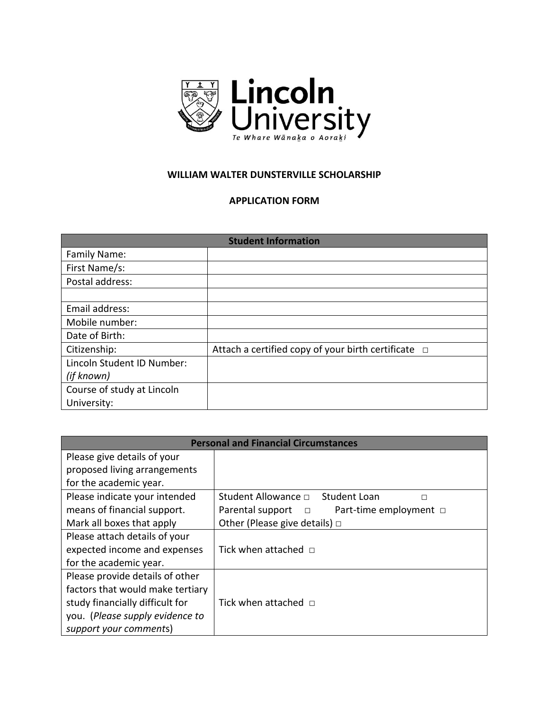

## **WILLIAM WALTER DUNSTERVILLE SCHOLARSHIP**

#### **APPLICATION FORM**

| <b>Student Information</b> |                                                          |  |
|----------------------------|----------------------------------------------------------|--|
| Family Name:               |                                                          |  |
| First Name/s:              |                                                          |  |
| Postal address:            |                                                          |  |
|                            |                                                          |  |
| Email address:             |                                                          |  |
| Mobile number:             |                                                          |  |
| Date of Birth:             |                                                          |  |
| Citizenship:               | Attach a certified copy of your birth certificate $\Box$ |  |
| Lincoln Student ID Number: |                                                          |  |
| (if known)                 |                                                          |  |
| Course of study at Lincoln |                                                          |  |
| University:                |                                                          |  |

| <b>Personal and Financial Circumstances</b> |                                                      |  |
|---------------------------------------------|------------------------------------------------------|--|
| Please give details of your                 |                                                      |  |
| proposed living arrangements                |                                                      |  |
| for the academic year.                      |                                                      |  |
| Please indicate your intended               | Student Allowance $\Box$<br><b>Student Loan</b><br>П |  |
| means of financial support.                 | Parental support<br>Part-time employment □<br>$\Box$ |  |
| Mark all boxes that apply                   | Other (Please give details) $\Box$                   |  |
| Please attach details of your               |                                                      |  |
| expected income and expenses                | Tick when attached $\square$                         |  |
| for the academic year.                      |                                                      |  |
| Please provide details of other             |                                                      |  |
| factors that would make tertiary            |                                                      |  |
| study financially difficult for             | Tick when attached $\Box$                            |  |
| you. (Please supply evidence to             |                                                      |  |
| support your comments)                      |                                                      |  |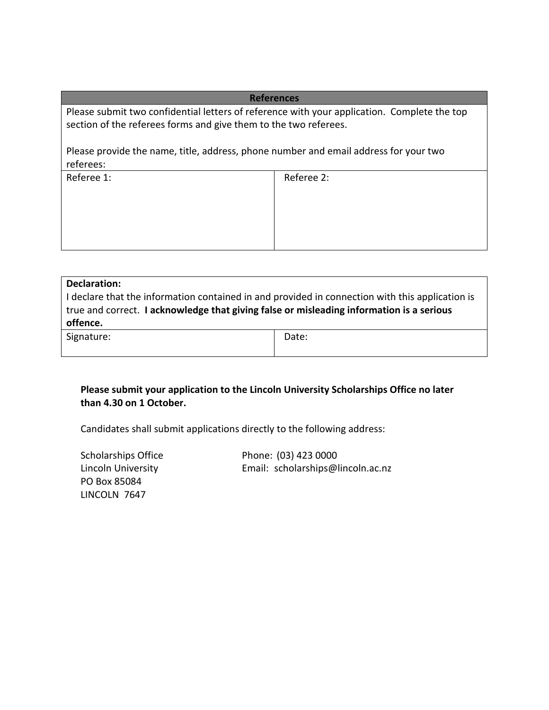#### **References**

Please submit two confidential letters of reference with your application. Complete the top section of the referees forms and give them to the two referees.

Please provide the name, title, address, phone number and email address for your two referees:

Referee 1: Referee 2:

| Declaration:                                                                                    |       |  |
|-------------------------------------------------------------------------------------------------|-------|--|
| I declare that the information contained in and provided in connection with this application is |       |  |
| true and correct. I acknowledge that giving false or misleading information is a serious        |       |  |
| offence.                                                                                        |       |  |
| Signature:                                                                                      | Date: |  |
|                                                                                                 |       |  |

# **Please submit your application to the Lincoln University Scholarships Office no later than 4.30 on 1 October.**

Candidates shall submit applications directly to the following address:

Scholarships Office Phone: (03) 423 0000 Lincoln University Email: scholarships@lincoln.ac.nz PO Box 85084 LINCOLN 7647